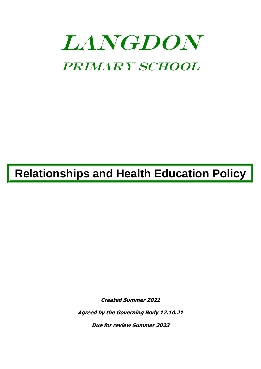# **LANGDON** Primary School

## **Relationships and Health Education Policy**

**Created Summer 2021**

**Agreed by the Governing Body 12.10.21**

**Due for review Summer 2023**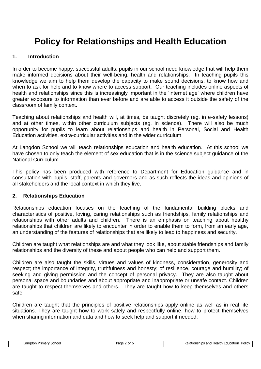### **Policy for Relationships and Health Education**

#### **1. Introduction**

In order to become happy, successful adults, pupils in our school need knowledge that will help them make informed decisions about their well-being, health and relationships. In teaching pupils this knowledge we aim to help them develop the capacity to make sound decisions, to know how and when to ask for help and to know where to access support. Our teaching includes online aspects of health and relationships since this is increasingly important in the 'internet age' where children have greater exposure to information than ever before and are able to access it outside the safety of the classroom of family context.

Teaching about relationships and health will, at times, be taught discretely (eg. in e-safety lessons) and at other times, within other curriculum subjects (eg. in science). There will also be much opportunity for pupils to learn about relationships and health in Personal, Social and Health Education activities, extra-curricular activities and in the wider curriculum.

At Langdon School we will teach relationships education and health education. At this school we have chosen to only teach the element of sex education that is in the science subject guidance of the National Curriculum.

This policy has been produced with reference to Department for Education guidance and in consultation with pupils, staff, parents and governors and as such reflects the ideas and opinions of all stakeholders and the local context in which they live.

#### **2. Relationships Education**

Relationships education focuses on the teaching of the fundamental building blocks and characteristics of positive, loving, caring relationships such as friendships, family relationships and relationships with other adults and children. There is an emphasis on teaching about healthy relationships that children are likely to encounter in order to enable them to form, from an early age, an understanding of the features of relationships that are likely to lead to happiness and security.

Children are taught what relationships are and what they look like, about stable friendships and family relationships and the diversity of these and about people who can help and support them.

Children are also taught the skills, virtues and values of kindness, consideration, generosity and respect; the importance of integrity, truthfulness and honesty; of resilience, courage and humility; of seeking and giving permission and the concept of personal privacy. They are also taught about personal space and boundaries and about appropriate and inappropriate or unsafe contact. Children are taught to respect themselves and others. They are taught how to keep themselves and others safe.

Children are taught that the principles of positive relationships apply online as well as in real life situations. They are taught how to work safely and respectfully online, how to protect themselves when sharing information and data and how to seek help and support if needed.

| angd<br>cnool<br>Primar<br>. | - du | Policy<br>hips.<br>catior<br>ano<br>Healtl |
|------------------------------|------|--------------------------------------------|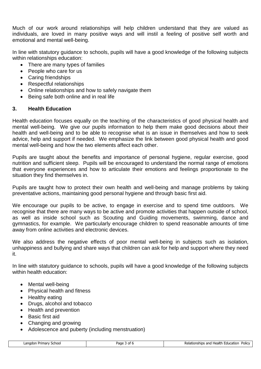Much of our work around relationships will help children understand that they are valued as individuals, are loved in many positive ways and will instil a feeling of positive self worth and emotional and mental well-being.

In line with statutory guidance to schools, pupils will have a good knowledge of the following subjects within relationships education:

- There are many types of families
- People who care for us
- Caring friendships
- Respectful relationships
- Online relationships and how to safely navigate them
- Being safe both online and in real life

#### **3. Health Education**

Health education focuses equally on the teaching of the characteristics of good physical health and mental well-being. We give our pupils information to help them make good decisions about their health and well-being and to be able to recognise what is an issue in themselves and how to seek advice, help and support if needed. We emphasize the link between good physical health and good mental well-being and how the two elements affect each other.

Pupils are taught about the benefits and importance of personal hygiene, regular exercise, good nutrition and sufficient sleep. Pupils will be encouraged to understand the normal range of emotions that everyone experiences and how to articulate their emotions and feelings proportionate to the situation they find themselves in.

Pupils are taught how to protect their own health and well-being and manage problems by taking preventative actions, maintaining good personal hygiene and through basic first aid.

We encourage our pupils to be active, to engage in exercise and to spend time outdoors. We recognise that there are many ways to be active and promote activities that happen outside of school, as well as inside school such as Scouting and Guiding movements, swimming, dance and gymnastics, for example. We particularly encourage children to spend reasonable amounts of time away from online activities and electronic devices.

We also address the negative effects of poor mental well-being in subjects such as isolation, unhappiness and bullying and share ways that children can ask for help and support where they need it.

In line with statutory guidance to schools, pupils will have a good knowledge of the following subjects within health education:

- Mental well-being
- Physical health and fitness
- Healthy eating
- Drugs, alcohol and tobacco
- Health and prevention
- Basic first aid
- Changing and growing
- Adolescence and puberty (including menstruation)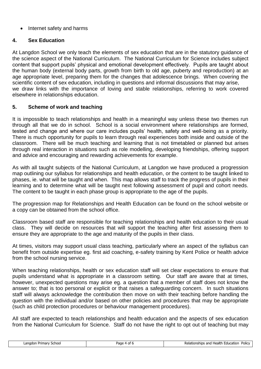#### • Internet safety and harms

#### **4. Sex Education**

At Langdon School we only teach the elements of sex education that are in the statutory guidance of the science aspect of the National Curriculum. The National Curriculum for Science includes subject content that support pupils' physical and emotional development effectively. Pupils are taught about the human body (external body parts, growth from birth to old age, puberty and reproduction) at an age appropriate level, preparing them for the changes that adolescence brings. When covering the scientific content of sex education, including in questions and informal discussions that may arise, we draw links with the importance of loving and stable relationships, referring to work covered elsewhere in relationships education.

#### **5. Scheme of work and teaching**

It is impossible to teach relationships and health in a meaningful way unless these two themes run through all that we do in school. School is a social environment where relationships are formed, tested and change and where our care includes pupils' health, safety and well-being as a priority. There is much opportunity for pupils to learn through real experiences both inside and outside of the classroom. There will be much teaching and learning that is not timetabled or planned but arises through real interaction in situations such as role modelling, developing friendships, offering support and advice and encouraging and rewarding achievements for example.

As with all taught subjects of the National Curriculum, at Langdon we have produced a progression map outlining our syllabus for relationships and health education, or the content to be taught linked to phases, ie. what will be taught and when. This map allows staff to track the progress of pupils in their learning and to determine what will be taught next following assessment of pupil and cohort needs. The content to be taught in each phase group is appropriate to the age of the pupils.

The progression map for Relationships and Health Education can be found on the school website or a copy can be obtained from the school office.

Classroom based staff are responsible for teaching relationships and health education to their usual class. They will decide on resources that will support the teaching after first assessing them to ensure they are appropriate to the age and maturity of the pupils in their class.

At times, visitors may support usual class teaching, particularly where an aspect of the syllabus can benefit from outside expertise eg. first aid coaching, e-safety training by Kent Police or health advice from the school nursing service.

When teaching relationships, health or sex education staff will set clear expectations to ensure that pupils understand what is appropriate in a classroom setting. Our staff are aware that at times, however, unexpected questions may arise eg. a question that a member of staff does not know the answer to; that is too personal or explicit or that raises a safeguarding concern. In such situations staff will always acknowledge the contribution then move on with their teaching before handling the question with the individual and/or based on other policies and procedures that may be appropriate (such as child protection procedures or behaviour management procedures).

All staff are expected to teach relationships and health education and the aspects of sex education from the National Curriculum for Science. Staff do not have the right to opt out of teaching but may

| Langdor<br>School<br>Priman<br>. | ao. | ' Health<br>Relationships and<br>Policy<br>Education |
|----------------------------------|-----|------------------------------------------------------|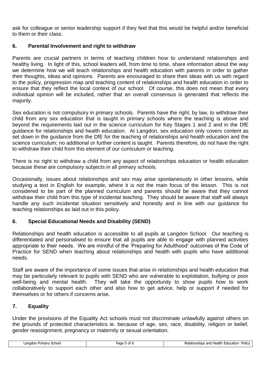ask for colleague or senior leadership support if they feel that this would be helpful and/or beneficial to them or their class.

#### **6. Parental Involvement and right to withdraw**

Parents are crucial partners in terms of teaching children how to understand relationships and healthy living. In light of this, school leaders will, from time to time, share information about the way we determine how we will teach relationships and health education with parents in order to gather their thoughts, ideas and opinions. Parents are encouraged to share their ideas with us with regard to the policy, progression map and teaching content of relationships and health education in order to ensure that they reflect the local context of our school. Of course, this does not mean that every individual opinion will be included, rather that an overall consensus is generated that reflects the majority.

Sex education is not compulsory in primary schools. Parents have the right, by law, to withdraw their child from any sex education that is taught in primary schools where the teaching is above and beyond the requirements laid out in the science curriculum for Key Stages 1 and 2 and in the DfE guidance for relationships and health education. At Langdon, sex education only covers content as set down in the guidance from the DfE for the teaching of relationships and health education and the science curriculum; no additional or further content is taught. Parents therefore, do not have the right to withdraw their child from this element of our curriculum or teaching.

There is no right to withdraw a child from any aspect of relationships education or health education because these are compulsory subjects in all primary schools.

Occasionally, issues about relationships and sex may arise spontaneously in other lessons, while studying a text in English for example, where it is not the main focus of the lesson. This is not considered to be part of the planned curriculum and parents should be aware that they cannot withdraw their child from this type of incidental teaching. They should be aware that staff will always handle any such incidental situation sensitively and honestly and in line with our guidance for teaching relationships as laid out in this policy.

#### **6. Special Educational Needs and Disability (SEND)**

Relationships and health education is accessible to all pupils at Langdon School. Our teaching is differentiated and personalised to ensure that all pupils are able to engage with planned activities appropriate to their needs. We are mindful of the 'Preparing for Adulthood' outcomes of the Code of Practice for SEND when teaching about relationships and health with pupils who have additional needs.

Staff are aware of the importance of some issues that arise in relationships and health education that may be particularly relevant to pupils with SEND who are vulnerable to exploitation, bullying or poor well-being and mental health. They will take the opportunity to show pupils how to work collaboratively to support each other and also how to get advice, help or support if needed for themselves or for others if concerns arise.

#### **7. Equality**

Under the provisions of the Equality Act schools must not discriminate unlawfully against others on the grounds of protected characteristics ie. because of age, sex, race, disability, religion or belief, gender reassignment, pregnancy or maternity or sexual orientation.

| Langdor<br>School<br>Primary | שמכני.<br>Ωt<br>'dut | . Health<br>Polic<br>Relationships and<br>Education |
|------------------------------|----------------------|-----------------------------------------------------|